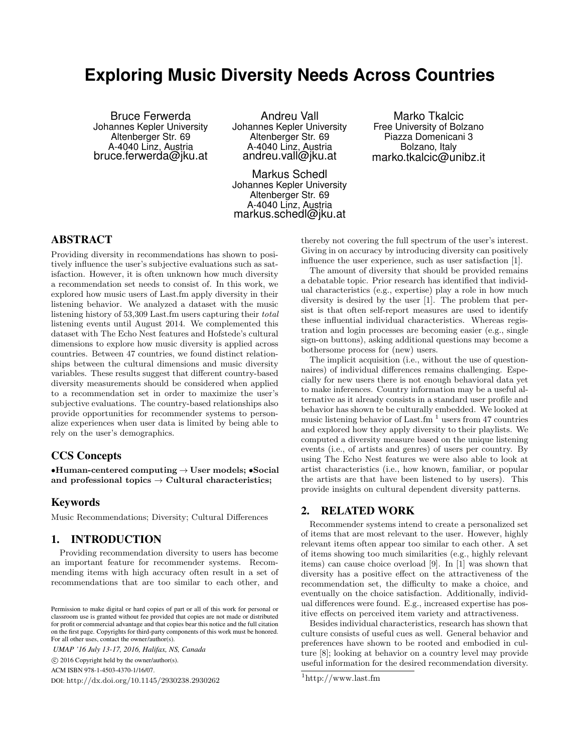# **Exploring Music Diversity Needs Across Countries**

Bruce Ferwerda Johannes Kepler University Altenberger Str. 69 A-4040 Linz, Austria bruce.ferwerda@jku.at

Andreu Vall Johannes Kepler University Altenberger Str. 69 A-4040 Linz, Austria andreu.vall@jku.at

Markus Schedl Johannes Kepler University Altenberger Str. 69 A-4040 Linz, Austria markus.schedl@jku.at

Marko Tkalcic Free University of Bolzano Piazza Domenicani 3 Bolzano, Italy marko.tkalcic@unibz.it

# ABSTRACT

Providing diversity in recommendations has shown to positively influence the user's subjective evaluations such as satisfaction. However, it is often unknown how much diversity a recommendation set needs to consist of. In this work, we explored how music users of Last.fm apply diversity in their listening behavior. We analyzed a dataset with the music listening history of 53,309 Last.fm users capturing their total listening events until August 2014. We complemented this dataset with The Echo Nest features and Hofstede's cultural dimensions to explore how music diversity is applied across countries. Between 47 countries, we found distinct relationships between the cultural dimensions and music diversity variables. These results suggest that different country-based diversity measurements should be considered when applied to a recommendation set in order to maximize the user's subjective evaluations. The country-based relationships also provide opportunities for recommender systems to personalize experiences when user data is limited by being able to rely on the user's demographics.

# CCS Concepts

 $\bullet$ Human-centered computing  $\rightarrow$  User models;  $\bullet$ Social and professional topics  $\rightarrow$  Cultural characteristics;

#### Keywords

Music Recommendations; Diversity; Cultural Differences

### 1. INTRODUCTION

Providing recommendation diversity to users has become an important feature for recommender systems. Recommending items with high accuracy often result in a set of recommendations that are too similar to each other, and

*UMAP '16 July 13-17, 2016, Halifax, NS, Canada* c 2016 Copyright held by the owner/author(s).

ACM ISBN 978-1-4503-4370-1/16/07.

DOI: http://dx.doi.org/10.1145/2930238.2930262

thereby not covering the full spectrum of the user's interest. Giving in on accuracy by introducing diversity can positively influence the user experience, such as user satisfaction [1].

The amount of diversity that should be provided remains a debatable topic. Prior research has identified that individual characteristics (e.g., expertise) play a role in how much diversity is desired by the user [1]. The problem that persist is that often self-report measures are used to identify these influential individual characteristics. Whereas registration and login processes are becoming easier (e.g., single sign-on buttons), asking additional questions may become a bothersome process for (new) users.

The implicit acquisition (i.e., without the use of questionnaires) of individual differences remains challenging. Especially for new users there is not enough behavioral data yet to make inferences. Country information may be a useful alternative as it already consists in a standard user profile and behavior has shown te be culturally embedded. We looked at music listening behavior of Last.fm<sup> $1$ </sup> users from 47 countries and explored how they apply diversity to their playlists. We computed a diversity measure based on the unique listening events (i.e., of artists and genres) of users per country. By using The Echo Nest features we were also able to look at artist characteristics (i.e., how known, familiar, or popular the artists are that have been listened to by users). This provide insights on cultural dependent diversity patterns.

## 2. RELATED WORK

Recommender systems intend to create a personalized set of items that are most relevant to the user. However, highly relevant items often appear too similar to each other. A set of items showing too much similarities (e.g., highly relevant items) can cause choice overload [9]. In [1] was shown that diversity has a positive effect on the attractiveness of the recommendation set, the difficulty to make a choice, and eventually on the choice satisfaction. Additionally, individual differences were found. E.g., increased expertise has positive effects on perceived item variety and attractiveness.

Besides individual characteristics, research has shown that culture consists of useful cues as well. General behavior and preferences have shown to be rooted and embodied in culture [8]; looking at behavior on a country level may provide useful information for the desired recommendation diversity.

Permission to make digital or hard copies of part or all of this work for personal or classroom use is granted without fee provided that copies are not made or distributed for profit or commercial advantage and that copies bear this notice and the full citation on the first page. Copyrights for third-party components of this work must be honored. For all other uses, contact the owner/author(s).

 $1$ http://www.last.fm